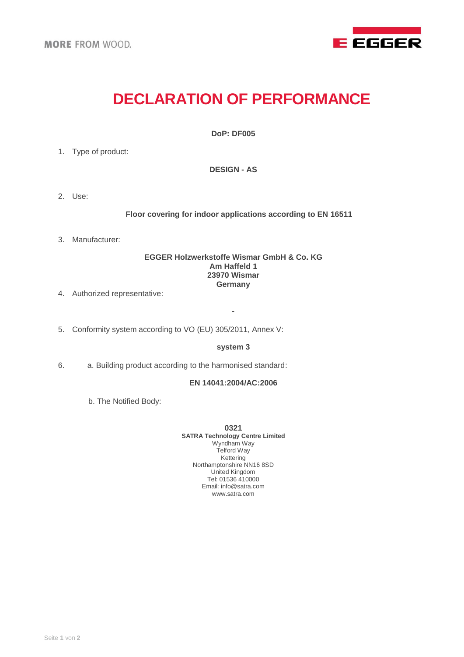

# **DECLARATION OF PERFORMANCE**

**DoP: DF005**

1. Type of product:

**DESIGN - AS**

2. Use:

**Floor covering for indoor applications according to EN 16511**

3. Manufacturer:

## **EGGER Holzwerkstoffe Wismar GmbH & Co. KG Am Haffeld 1 23970 Wismar Germany**

- 4. Authorized representative:
- 5. Conformity system according to VO (EU) 305/2011, Annex V:

#### **system 3**

**-**

6. a. Building product according to the harmonised standard:

## **EN 14041:2004/AC:2006**

b. The Notified Body:

**0321 SATRA Technology Centre Limited** Wyndham Way Telford Way Kettering Northamptonshire NN16 8SD United Kingdom Tel: 01536 410000 Email: info@satra.com www.satra.com